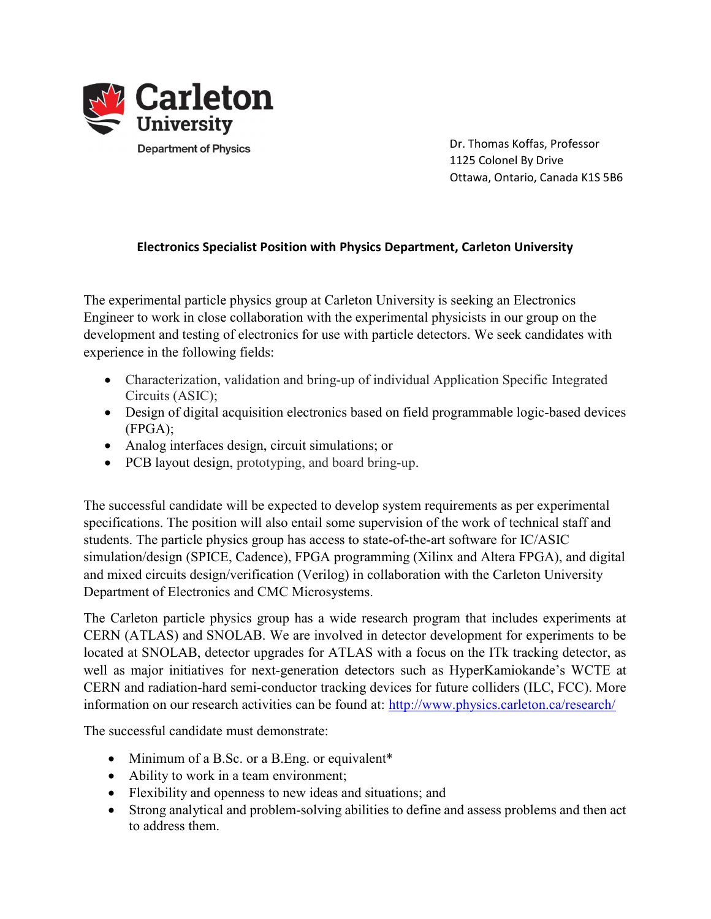

 Dr. Thomas Koffas, Professor 1125 Colonel By Drive Ottawa, Ontario, Canada K1S 5B6

## Electronics Specialist Position with Physics Department, Carleton University

The experimental particle physics group at Carleton University is seeking an Electronics Engineer to work in close collaboration with the experimental physicists in our group on the development and testing of electronics for use with particle detectors. We seek candidates with experience in the following fields:

- Characterization, validation and bring-up of individual Application Specific Integrated Circuits (ASIC);
- Design of digital acquisition electronics based on field programmable logic-based devices (FPGA);
- Analog interfaces design, circuit simulations; or
- PCB layout design, prototyping, and board bring-up.

The successful candidate will be expected to develop system requirements as per experimental specifications. The position will also entail some supervision of the work of technical staff and students. The particle physics group has access to state-of-the-art software for IC/ASIC simulation/design (SPICE, Cadence), FPGA programming (Xilinx and Altera FPGA), and digital and mixed circuits design/verification (Verilog) in collaboration with the Carleton University Department of Electronics and CMC Microsystems.

The Carleton particle physics group has a wide research program that includes experiments at CERN (ATLAS) and SNOLAB. We are involved in detector development for experiments to be located at SNOLAB, detector upgrades for ATLAS with a focus on the ITk tracking detector, as well as major initiatives for next-generation detectors such as HyperKamiokande's WCTE at CERN and radiation-hard semi-conductor tracking devices for future colliders (ILC, FCC). More information on our research activities can be found at: http://www.physics.carleton.ca/research/

The successful candidate must demonstrate:

- Minimum of a B.Sc. or a B.Eng. or equivalent\*
- Ability to work in a team environment;
- Flexibility and openness to new ideas and situations; and
- Strong analytical and problem-solving abilities to define and assess problems and then act to address them.